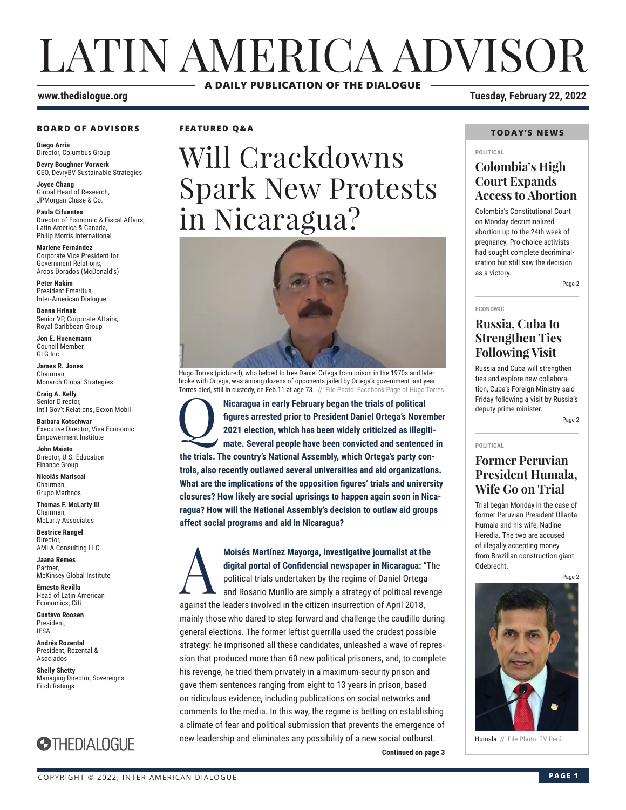# LATIN AMERICA ADVISOR **A DAILY PUBLICATION OF THE DIALOGUE**

#### **www.thedialogue.org Tuesday, February 22, 2022**

#### **BOARD OF ADVISORS**

**Diego Arria** Director, Columbus Group **Devry Boughner Vorwerk**

CEO, DevryBV Sustainable Strategies

**Joyce Chang** Global Head of Research, JPMorgan Chase & Co.

**Paula Cifuentes** Director of Economic & Fiscal Affairs, Latin America & Canada, Philip Morris International

**Marlene Fernández** Corporate Vice President for Government Relations, Arcos Dorados (McDonald's)

**Peter Hakim** President Emeritus, Inter-American Dialogue

**Donna Hrinak** Senior VP, Corporate Affairs, Royal Caribbean Group

**Jon E. Huenemann** Council Member, GLG Inc.

**James R. Jones** Chairman, Monarch Global Strategies

**Craig A. Kelly** Senior Director, Int'l Gov't Relations, Exxon Mobil

**Barbara Kotschwar** Executive Director, Visa Economic Empowerment Institute

**John Maisto** Director, U.S. Education Finance Group

**Nicolás Mariscal** Chairman, Grupo Marhnos

**Thomas F. McLarty III** Chairman, McLarty Associates

**Beatrice Rangel**  Director, AMLA Consulting LLC

**Jaana Remes** Partner, McKinsey Global Institute

**Ernesto Revilla**  Head of Latin American Economics, Citi

**Gustavo Roosen** President, IESA

**Andrés Rozental**  President, Rozental & Asociados

**Shelly Shetty** Managing Director, Sovereigns Fitch Ratings



### **FEATURED Q&A**

# Will Crackdowns Spark New Protests in Nicaragua?

Hugo Torres (pictured), who helped to free Daniel Ortega from prison in the 1970s and later broke with Ortega, was among dozens of opponents jailed by Ortega's government last year. Torres died, still in custody, on Feb.11 at age 73. // File Photo: Facebook Page of Hugo Torres.

**Nicaragua in early February began the trials of political figures arrested prior to President Daniel Ortega's Nove 2021 election, which has been widely criticized as illegi mate. Several people have been convicted and sen figures arrested prior to President Daniel Ortega's November 2021 election, which has been widely criticized as illegitimate. Several people have been convicted and sentenced in the trials. The country's National Assembly, which Ortega's party controls, also recently outlawed several universities and aid organizations. What are the implications of the opposition figures' trials and university closures? How likely are social uprisings to happen again soon in Nicaragua? How will the National Assembly's decision to outlaw aid groups affect social programs and aid in Nicaragua?**

Moisés Martínez Mayorga, investigative journalist at the digital portal of Confidencial newspaper in Nicaragua: "The political trials undertaken by the regime of Daniel Ortega and Rosario Murillo are simply a strategy of p **digital portal of Confidencial newspaper in Nicaragua:** "The political trials undertaken by the regime of Daniel Ortega and Rosario Murillo are simply a strategy of political revenge against the leaders involved in the citizen insurrection of April 2018, mainly those who dared to step forward and challenge the caudillo during general elections. The former leftist guerrilla used the crudest possible strategy: he imprisoned all these candidates, unleashed a wave of repression that produced more than 60 new political prisoners, and, to complete his revenge, he tried them privately in a maximum-security prison and gave them sentences ranging from eight to 13 years in prison, based on ridiculous evidence, including publications on social networks and comments to the media. In this way, the regime is betting on establishing a climate of fear and political submission that prevents the emergence of new leadership and eliminates any possibility of a new social outburst.

### **TODAY'S NEWS**

#### **POLITICAL**

## **Colombia's High Court Expands Access to Abortion**

Colombia's Constitutional Court on Monday decriminalized abortion up to the 24th week of pregnancy. Pro-choice activists had sought complete decriminalization but still saw the decision as a victory.

Page 2

#### **ECONOMIC**

## **Russia, Cuba to Strengthen Ties Following Visit**

Russia and Cuba will strengthen ties and explore new collaboration, Cuba's Foreign Ministry said Friday following a visit by Russia's deputy prime minister.

Page 2

#### **POLITICAL**

## **Former Peruvian President Humala, Wife Go on Trial**

Trial began Monday in the case of former Peruvian President Ollanta Humala and his wife, Nadine Heredia. The two are accused of illegally accepting money from Brazilian construction giant Odebrecht.

Page 2



Humala // File Photo: TV Perú.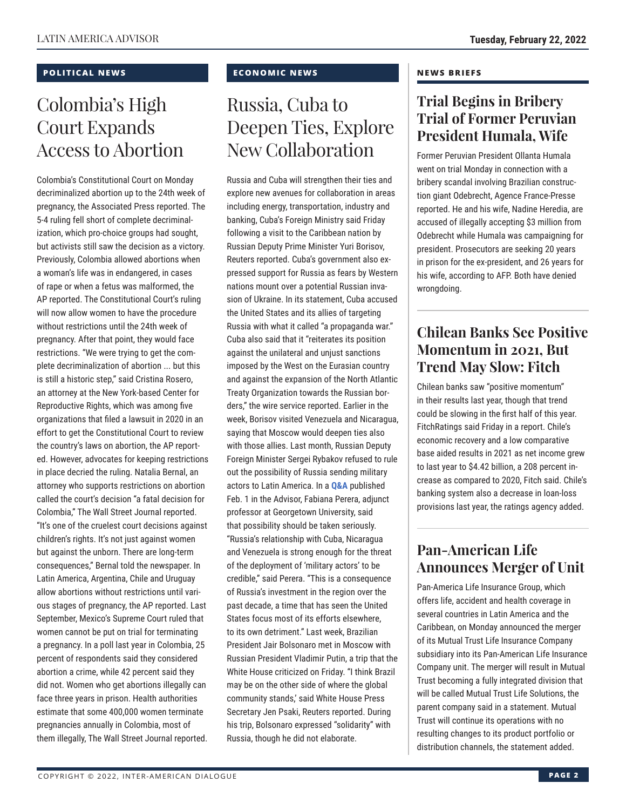#### **POLITICAL NEWS**

## Colombia's High Court Expands Access to Abortion

Colombia's Constitutional Court on Monday decriminalized abortion up to the 24th week of pregnancy, the Associated Press reported. The 5-4 ruling fell short of complete decriminalization, which pro-choice groups had sought, but activists still saw the decision as a victory. Previously, Colombia allowed abortions when a woman's life was in endangered, in cases of rape or when a fetus was malformed, the AP reported. The Constitutional Court's ruling will now allow women to have the procedure without restrictions until the 24th week of pregnancy. After that point, they would face restrictions. "We were trying to get the complete decriminalization of abortion ... but this is still a historic step," said Cristina Rosero, an attorney at the New York-based Center for Reproductive Rights, which was among five organizations that filed a lawsuit in 2020 in an effort to get the Constitutional Court to review the country's laws on abortion, the AP reported. However, advocates for keeping restrictions in place decried the ruling. Natalia Bernal, an attorney who supports restrictions on abortion called the court's decision "a fatal decision for Colombia," The Wall Street Journal reported. "It's one of the cruelest court decisions against children's rights. It's not just against women but against the unborn. There are long-term consequences," Bernal told the newspaper. In Latin America, Argentina, Chile and Uruguay allow abortions without restrictions until various stages of pregnancy, the AP reported. Last September, Mexico's Supreme Court ruled that women cannot be put on trial for terminating a pregnancy. In a poll last year in Colombia, 25 percent of respondents said they considered abortion a crime, while 42 percent said they did not. Women who get abortions illegally can face three years in prison. Health authorities estimate that some 400,000 women terminate pregnancies annually in Colombia, most of them illegally, The Wall Street Journal reported.

### **ECONOMIC NEWS**

## Russia, Cuba to Deepen Ties, Explore New Collaboration

Russia and Cuba will strengthen their ties and explore new avenues for collaboration in areas including energy, transportation, industry and banking, Cuba's Foreign Ministry said Friday following a visit to the Caribbean nation by Russian Deputy Prime Minister Yuri Borisov, Reuters reported. Cuba's government also expressed support for Russia as fears by Western nations mount over a potential Russian invasion of Ukraine. In its statement, Cuba accused the United States and its allies of targeting Russia with what it called "a propaganda war." Cuba also said that it "reiterates its position against the unilateral and unjust sanctions imposed by the West on the Eurasian country and against the expansion of the North Atlantic Treaty Organization towards the Russian borders," the wire service reported. Earlier in the week, Borisov visited Venezuela and Nicaragua, saying that Moscow would deepen ties also with those allies. Last month, Russian Deputy Foreign Minister Sergei Rybakov refused to rule out the possibility of Russia sending military actors to Latin America. In a **[Q&A](https://www.thedialogue.org/wp-content/uploads/2022/02/LAA220201.pdf)** published Feb. 1 in the Advisor, Fabiana Perera, adjunct professor at Georgetown University, said that possibility should be taken seriously. "Russia's relationship with Cuba, Nicaragua and Venezuela is strong enough for the threat of the deployment of 'military actors' to be credible," said Perera. "This is a consequence of Russia's investment in the region over the past decade, a time that has seen the United States focus most of its efforts elsewhere, to its own detriment." Last week, Brazilian President Jair Bolsonaro met in Moscow with Russian President Vladimir Putin, a trip that the White House criticized on Friday. "I think Brazil may be on the other side of where the global community stands,' said White House Press Secretary Jen Psaki, Reuters reported. During his trip, Bolsonaro expressed "solidarity" with Russia, though he did not elaborate.

#### **NEWS BRIEFS**

## **Trial Begins in Bribery Trial of Former Peruvian President Humala, Wife**

Former Peruvian President Ollanta Humala went on trial Monday in connection with a bribery scandal involving Brazilian construction giant Odebrecht, Agence France-Presse reported. He and his wife, Nadine Heredia, are accused of illegally accepting \$3 million from Odebrecht while Humala was campaigning for president. Prosecutors are seeking 20 years in prison for the ex-president, and 26 years for his wife, according to AFP. Both have denied wronadoina.

## **Chilean Banks See Positive Momentum in 2021, But Trend May Slow: Fitch**

Chilean banks saw "positive momentum" in their results last year, though that trend could be slowing in the first half of this year. FitchRatings said Friday in a report. Chile's economic recovery and a low comparative base aided results in 2021 as net income grew to last year to \$4.42 billion, a 208 percent increase as compared to 2020, Fitch said. Chile's banking system also a decrease in loan-loss provisions last year, the ratings agency added.

## **Pan-American Life Announces Merger of Unit**

Pan-America Life Insurance Group, which offers life, accident and health coverage in several countries in Latin America and the Caribbean, on Monday announced the merger of its Mutual Trust Life Insurance Company subsidiary into its Pan-American Life Insurance Company unit. The merger will result in Mutual Trust becoming a fully integrated division that will be called Mutual Trust Life Solutions, the parent company said in a statement. Mutual Trust will continue its operations with no resulting changes to its product portfolio or distribution channels, the statement added.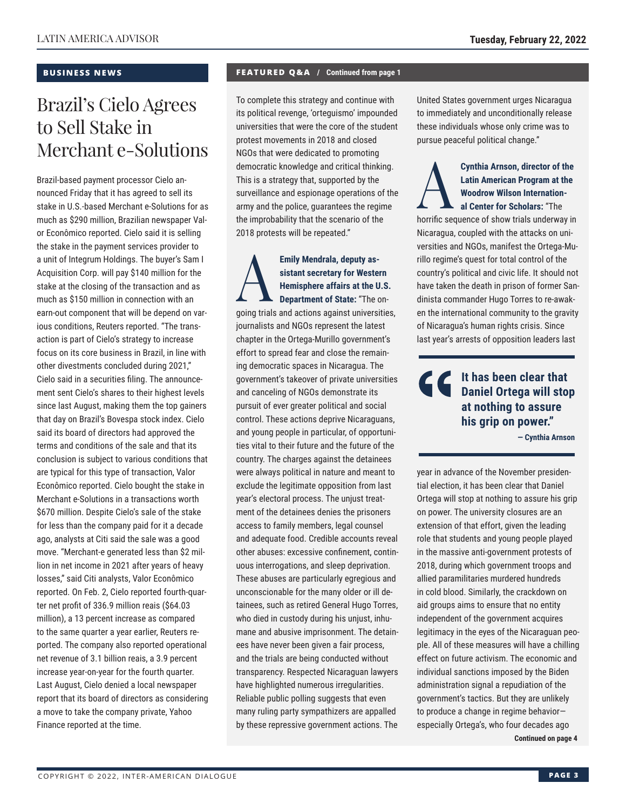#### **BUSINESS NEWS**

## Brazil's Cielo Agrees to Sell Stake in Merchant e-Solutions

Brazil-based payment processor Cielo announced Friday that it has agreed to sell its stake in U.S.-based Merchant e-Solutions for as much as \$290 million, Brazilian newspaper Valor Econômico reported. Cielo said it is selling the stake in the payment services provider to a unit of Integrum Holdings. The buyer's Sam I Acquisition Corp. will pay \$140 million for the stake at the closing of the transaction and as much as \$150 million in connection with an earn-out component that will be depend on various conditions, Reuters reported. "The transaction is part of Cielo's strategy to increase focus on its core business in Brazil, in line with other divestments concluded during 2021," Cielo said in a securities filing. The announcement sent Cielo's shares to their highest levels since last August, making them the top gainers that day on Brazil's Bovespa stock index. Cielo said its board of directors had approved the terms and conditions of the sale and that its conclusion is subject to various conditions that are typical for this type of transaction, Valor Econômico reported. Cielo bought the stake in Merchant e-Solutions in a transactions worth \$670 million. Despite Cielo's sale of the stake for less than the company paid for it a decade ago, analysts at Citi said the sale was a good move. "Merchant-e generated less than \$2 million in net income in 2021 after years of heavy losses," said Citi analysts, Valor Econômico reported. On Feb. 2, Cielo reported fourth-quarter net profit of 336.9 million reais (\$64.03 million), a 13 percent increase as compared to the same quarter a year earlier, Reuters reported. The company also reported operational net revenue of 3.1 billion reais, a 3.9 percent increase year-on-year for the fourth quarter. Last August, Cielo denied a local newspaper report that its board of directors as considering a move to take the company private, Yahoo Finance reported at the time.

#### **FEATURED Q&A / Continued from page 1**

To complete this strategy and continue with its political revenge, 'orteguismo' impounded universities that were the core of the student protest movements in 2018 and closed NGOs that were dedicated to promoting democratic knowledge and critical thinking. This is a strategy that, supported by the surveillance and espionage operations of the army and the police, guarantees the regime the improbability that the scenario of the 2018 protests will be repeated."

Emily Mendrala, deputy as-<br>
sistant secretary for Weste<br>
Hemisphere affairs at the U<br>
Department of State: "The compartment of State: "The compartment of State" **sistant secretary for Western Hemisphere affairs at the U.S. Department of State:** "The ongoing trials and actions against universities, journalists and NGOs represent the latest chapter in the Ortega-Murillo government's effort to spread fear and close the remaining democratic spaces in Nicaragua. The government's takeover of private universities and canceling of NGOs demonstrate its pursuit of ever greater political and social control. These actions deprive Nicaraguans, and young people in particular, of opportunities vital to their future and the future of the country. The charges against the detainees were always political in nature and meant to exclude the legitimate opposition from last year's electoral process. The unjust treatment of the detainees denies the prisoners access to family members, legal counsel and adequate food. Credible accounts reveal other abuses: excessive confinement, continuous interrogations, and sleep deprivation. These abuses are particularly egregious and unconscionable for the many older or ill detainees, such as retired General Hugo Torres, who died in custody during his unjust, inhumane and abusive imprisonment. The detainees have never been given a fair process, and the trials are being conducted without transparency. Respected Nicaraguan lawyers have highlighted numerous irregularities. Reliable public polling suggests that even many ruling party sympathizers are appalled by these repressive government actions. The

United States government urges Nicaragua to immediately and unconditionally release these individuals whose only crime was to pursue peaceful political change."

## **Cynthia Arnson, director of the Latin American Program at the Woodrow Wilson Internation-<br>al Center for Scholars: "The herrifo sequence of show trials underway in Latin American Program at the Woodrow Wilson International Center for Scholars:** "The

horrific sequence of show trials underway in Nicaragua, coupled with the attacks on universities and NGOs, manifest the Ortega-Murillo regime's quest for total control of the country's political and civic life. It should not have taken the death in prison of former Sandinista commander Hugo Torres to re-awaken the international community to the gravity of Nicaragua's human rights crisis. Since last year's arrests of opposition leaders last

## **It has been clear that Daniel Ortega will stop at nothing to assure his grip on power."**

**— Cynthia Arnson**

year in advance of the November presidential election, it has been clear that Daniel Ortega will stop at nothing to assure his grip on power. The university closures are an extension of that effort, given the leading role that students and young people played in the massive anti-government protests of 2018, during which government troops and allied paramilitaries murdered hundreds in cold blood. Similarly, the crackdown on aid groups aims to ensure that no entity independent of the government acquires legitimacy in the eyes of the Nicaraguan people. All of these measures will have a chilling effect on future activism. The economic and individual sanctions imposed by the Biden administration signal a repudiation of the government's tactics. But they are unlikely to produce a change in regime behavior especially Ortega's, who four decades ago **Continued on page 4**